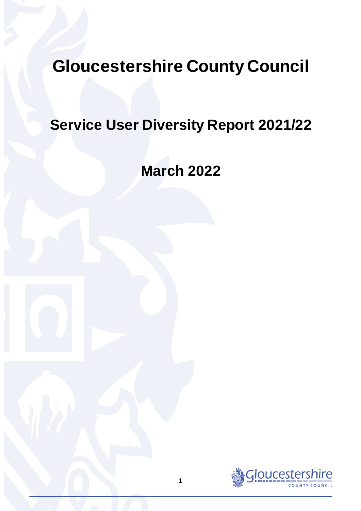# **Gloucestershire County Council**

# **Service User Diversity Report 2021/22**

# **March 2022**

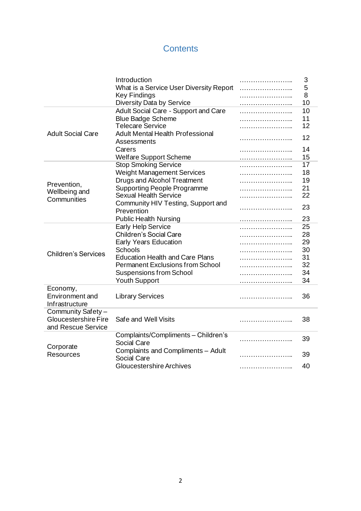# **Contents**

|                             | Introduction                            | 3  |
|-----------------------------|-----------------------------------------|----|
|                             | What is a Service User Diversity Report | 5  |
|                             | <b>Key Findings</b>                     | 8  |
|                             | Diversity Data by Service               | 10 |
|                             | Adult Social Care - Support and Care    | 10 |
|                             | <b>Blue Badge Scheme</b>                | 11 |
|                             | <b>Telecare Service</b>                 | 12 |
| <b>Adult Social Care</b>    | <b>Adult Mental Health Professional</b> | 12 |
|                             | Assessments                             |    |
|                             | Carers                                  | 14 |
|                             | <b>Welfare Support Scheme</b>           | 15 |
|                             | <b>Stop Smoking Service</b>             | 17 |
|                             | <b>Weight Management Services</b>       | 18 |
|                             | <b>Drugs and Alcohol Treatment</b>      | 19 |
| Prevention,                 | <b>Supporting People Programme</b>      | 21 |
| Wellbeing and               | <b>Sexual Health Service</b>            | 22 |
| Communities                 | Community HIV Testing, Support and      |    |
|                             | Prevention                              | 23 |
|                             | <b>Public Health Nursing</b>            | 23 |
|                             | <b>Early Help Service</b>               | 25 |
|                             | <b>Children's Social Care</b>           | 28 |
|                             | <b>Early Years Education</b>            | 29 |
|                             | Schools                                 | 30 |
| <b>Children's Services</b>  | <b>Education Health and Care Plans</b>  | 31 |
|                             | <b>Permanent Exclusions from School</b> | 32 |
|                             | <b>Suspensions from School</b>          | 34 |
|                             | <b>Youth Support</b>                    | 34 |
| Economy,                    |                                         |    |
| Environment and             | <b>Library Services</b>                 | 36 |
| Infrastructure              |                                         |    |
| Community Safety-           |                                         |    |
| <b>Gloucestershire Fire</b> | Safe and Well Visits                    | 38 |
| and Rescue Service          |                                         |    |
|                             | Complaints/Compliments - Children's     | 39 |
|                             | <b>Social Care</b>                      |    |
| Corporate                   | Complaints and Compliments - Adult      |    |
| <b>Resources</b>            | <b>Social Care</b>                      | 39 |
|                             | <b>Gloucestershire Archives</b>         | 40 |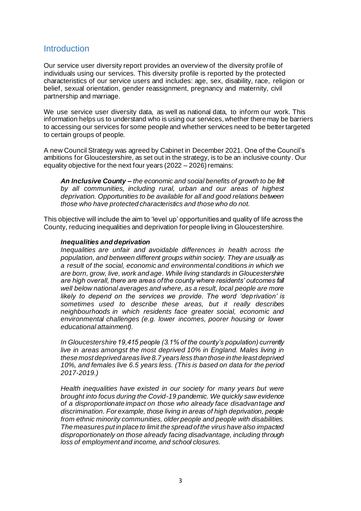### Introduction

Our service user diversity report provides an overview of the diversity profile of individuals using our services. This diversity profile is reported by the protected characteristics of our service users and includes: age, sex, disability, race, religion or belief, sexual orientation, gender reassignment, pregnancy and maternity, civil partnership and marriage.

We use service user diversity data, as well as national data, to inform our work. This information helps us to understand who is using our services, whether there may be barriers to accessing our services for some people and whether services need to be better targeted to certain groups of people.

A new Council Strategy was agreed by Cabinet in December 2021. One of the Council's ambitions for Gloucestershire, as set out in the strategy, is to be an inclusive county. Our equality objective for the next four years (2022 – 2026) remains:

*An Inclusive County – the economic and social benefits of growth to be felt by all communities, including rural, urban and our areas of highest deprivation. Opportunities to be available for all and good relations between those who have protected characteristics and those who do not.* 

This objective will include the aim to 'level up' opportunities and quality of life across the County, reducing inequalities and deprivation for people living in Gloucestershire.

#### *Inequalities and deprivation*

*Inequalities are unfair and avoidable differences in health across the population, and between different groups within society. They are usually as a result of the social, economic and environmental conditions in which we are born, grow, live, work and age. While living standards in Gloucestershire are high overall, there are areas of the county where residents' outcomes fall well below national averages and where, as a result, local people are more likely to depend on the services we provide. The word 'deprivation' is sometimes used to describe these areas, but it really describes neighbourhoods in which residents face greater social, economic and environmental challenges (e.g. lower incomes, poorer housing or lower educational attainment).* 

*In Gloucestershire 19,415 people (3.1% of the county's population) currently live in areas amongst the most deprived 10% in England. Males living in these most deprived areas live 8.7 years less than those in the least deprived 10%, and females live 6.5 years less. (This is based on data for the period 2017-2019.)* 

*Health inequalities have existed in our society for many years but were brought into focus during the Covid-19 pandemic. We quickly saw evidence of a disproportionate impact on those who already face disadvantage and discrimination. For example, those living in areas of high deprivation, people from ethnic minority communities, older people and people with disabilities. The measures put in place to limit the spread of the virus have also impacted disproportionately on those already facing disadvantage, including through loss of employment and income, and school closures.*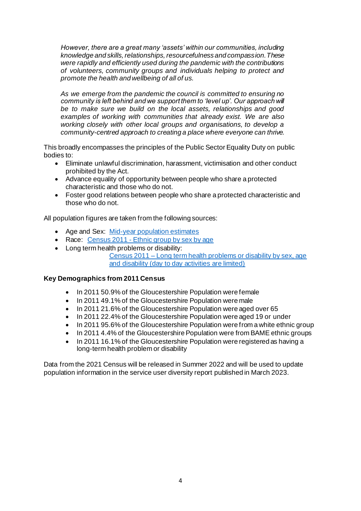*However, there are a great many 'assets' within our communities, including knowledge and skills, relationships, resourcefulness and compassion. These were rapidly and efficiently used during the pandemic with the contributions of volunteers, community groups and individuals helping to protect and promote the health and wellbeing of all of us.* 

*As we emerge from the pandemic the council is committed to ensuring no community is left behind and we support them to 'level up'. Our approach will be to make sure we build on the local assets, relationships and good examples of working with communities that already exist. We are also working closely with other local groups and organisations, to develop a community-centred approach to creating a place where everyone can thrive.*

This broadly encompasses the principles of the Public Sector Equality Duty on public bodies to:

- Eliminate unlawful discrimination, harassment, victimisation and other conduct prohibited by the Act.
- Advance equality of opportunity between people who share a protected characteristic and those who do not.
- Foster good relations between people who share a protected characteristic and those who do not.

All population figures are taken from the following sources:

- Age and Sex: [Mid-year population estimates](https://www.gloucestershire.gov.uk/inform/population/population-figures/county-and-district-data/)
- Race: Census 2011 [Ethnic group by sex by age](https://www.nomisweb.co.uk/census/2011/dc2101ew)
- Long term health problems or disability: Census 2011 – [Long term health problems or disability by sex, age](https://www.nomisweb.co.uk/census/2011/lc3101ewls)  and disability [\(day to day activities are limited\)](https://www.nomisweb.co.uk/census/2011/lc3101ewls)

#### **Key Demographics from 2011 Census**

- In 2011 50.9% of the Gloucestershire Population were female
- In 2011 49.1% of the Gloucestershire Population were male
- In 2011 21.6% of the Gloucestershire Population were aged over 65
- In 2011 22.4% of the Gloucestershire Population were aged 19 or under
- In 2011 95.6% of the Gloucestershire Population were from a white ethnic group
- In 2011 4.4% of the Gloucestershire Population were from BAME ethnic groups
- In 2011 16.1% of the Gloucestershire Population were registered as having a long-term health problem or disability

Data from the 2021 Census will be released in Summer 2022 and will be used to update population information in the service user diversity report published in March 2023.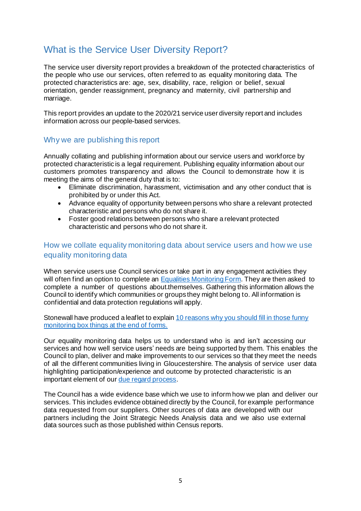# What is the Service User Diversity Report?

The service user diversity report provides a breakdown of the protected characteristics of the people who use our services, often referred to as equality monitoring data. The protected characteristics are: age, sex, disability, race, religion or belief, sexual orientation, gender reassignment, pregnancy and maternity, civil partnership and marriage.

This report provides an update to the 2020/21 service user diversity report and includes information across our people-based services.

#### Why we are publishing this report

Annually collating and publishing information about our service users and workforce by protected characteristic is a legal requirement. Publishing equality information about our customers promotes transparency and allows the Council to demonstrate how it is meeting the aims of the general duty that is to:

- Eliminate discrimination, harassment, victimisation and any other conduct that is prohibited by or under this Act.
- Advance equality of opportunity between persons who share a relevant protected characteristic and persons who do not share it.
- Foster good relations between persons who share a relevant protected characteristic and persons who do not share it.

#### How we collate equality monitoring data about service users and how we use equality monitoring data

When service users use Council services or take part in any engagement activities they will often find an option to complete an [Equalities Monitoring Form](https://www.gloucestershire.gov.uk/council-and-democracy/equalities-and-our-duties-under-the-equality-act-2010/equalities-monitoring/). They are then asked to complete a number of questions about themselves. Gathering this information allows the Council to identify which communities or groups they might belong to. All information is confidential an[d data protection r](http://www.gloucestershire.gov.uk/dataprotection)egulations will apply.

Stonewall have produced a leaflet to explain 10 reasons why you [should fill in those](http://www.stonewall.org.uk/sites/default/files/wigtdwy.pdf) funny [monitoring](http://www.stonewall.org.uk/sites/default/files/wigtdwy.pdf) box things at the end of forms.

Our equality monitoring data helps us to understand who is and isn't accessing our services and how well service users' needs are being supported by them. This enables the Council to plan, deliver and make improvements to our services so that they meet the needs of all the different communities living in Gloucestershire. The analysis of service user data highlighting participation/experience and outcome by protected characteristic is an important element of ou[r due regard process](https://www.gloucestershire.gov.uk/council-and-democracy/equalities-and-our-duties-under-the-equality-act-2010/equalities-decision-making/).

The Council has a wide evidence base which we use to inform how we plan and deliver our services. This includes evidence obtained directly by the Council, for example performance data requested from our suppliers. Other sources of data are developed with our partners including the Joint Strategic Needs Analysis data and we also use external data sources such as those published within Census reports.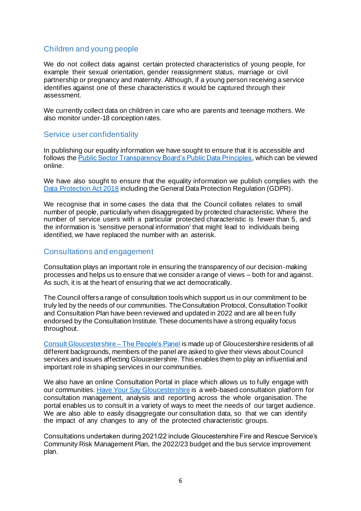### Children and young people

We do not collect data against certain protected characteristics of young people, for example their sexual orientation, gender reassignment status, marriage or civil partnership or pregnancy and maternity. Although, if a young person receiving a service identifies against one of these characteristics it would be captured through their assessment.

We currently collect data on children in care who are parents and teenage mothers. We also monitor under-18 conception rates.

### Service user confidentiality

In publishing our equality information we have sought to ensure that it is accessible and follows the [Public Sector Transparency Board's Public Data Principles,](https://assets.publishing.service.gov.uk/government/uploads/system/uploads/attachment_data/file/665359/Public-Data-Principles_public_sector_transparency_board.pdf) which can be viewed online.

We have also sought to ensure that the equality information we publish complies with the [Data Protection Act 2018](https://www.ico.org.uk/for-organisations/guide-to-data-protection/) including the General Data Protection Regulation (GDPR).

We recognise that in some cases the data that the Council collates relates to small number of people, particularly when disaggregated by protected characteristic. Where the number of service users with a particular protected characteristic is fewer than 5, and the information is 'sensitive personal information' that might lead to individuals being identified, we have replaced the number with an asterisk.

#### Consultations and engagement

Consultation plays an important role in ensuring the transparency of our decision-making processes and helps us to ensure that we consider a range of views – both for and against. As such, it is at the heart of ensuring that we act democratically.

The Council offers a range of consultation tools which support us in our commitment to be truly led by the needs of our communities. The Consultation Protocol, Consultation Toolkit and Consultation Plan have been reviewed and updated in 2022 and are all been fully endorsed by the Consultation Institute. These documents have a strong equality focus throughout.

[Consult Gloucestershire –](https://www.gloucestershire.gov.uk/council-and-democracy/consultations/consult-gloucestershire-the-peoples-panel/) The People's Panel is made up of Gloucestershire residents of all different backgrounds, members of the panel are asked to give their views about Council services and issues affecting Gloucestershire. This enables them to play an influential and important role in shaping services in our communities.

We also have an online Consultation Portal in place which allows us to fully engage with our communities[. Have Your Say Gloucestershire](https://haveyoursaygloucestershire.uk.engagementhq.com/) is a web-based consultation platform for consultation management, analysis and reporting across the whole organisation. The portal enables us to consult in a variety of ways to meet the needs of our target audience. We are also able to easily disaggregate our consultation data, so that we can identify the impact of any changes to any of the protected characteristic groups.

Consultations undertaken during 2021/22 include Gloucestershire Fire and Rescue Service's Community Risk Management Plan, the 2022/23 budget and the bus service improvement plan.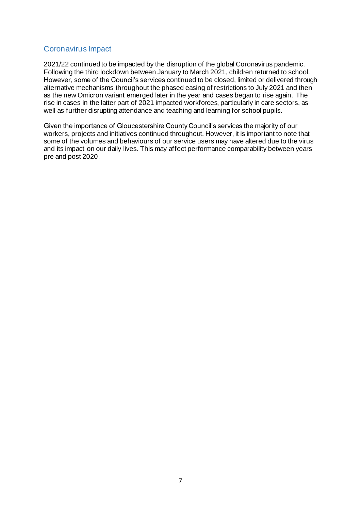### Coronavirus Impact

2021/22 continued to be impacted by the disruption of the global Coronavirus pandemic. Following the third lockdown between January to March 2021, children returned to school. However, some of the Council's services continued to be closed, limited or delivered through alternative mechanisms throughout the phased easing of restrictions to July 2021 and then as the new Omicron variant emerged later in the year and cases began to rise again. The rise in cases in the latter part of 2021 impacted workforces, particularly in care sectors, as well as further disrupting attendance and teaching and learning for school pupils.

Given the importance of Gloucestershire County Council's services the majority of our workers, projects and initiatives continued throughout. However, it is important to note that some of the volumes and behaviours of our service users may have altered due to the virus and its impact on our daily lives. This may affect performance comparability between years pre and post 2020.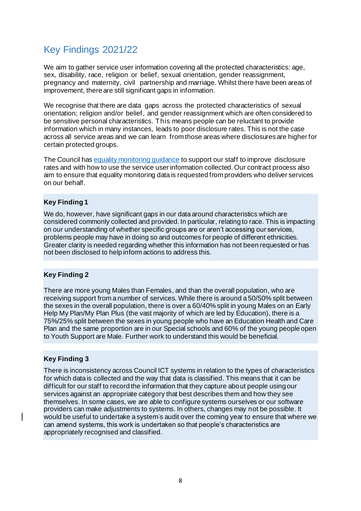# Key Findings 2021/22

We aim to gather service user information covering all the protected characteristics: age, sex, disability, race, religion or belief, sexual orientation, gender reassignment, pregnancy and maternity, civil partnership and marriage. Whilst there have been areas of improvement, there are still significant gaps in information.

We recognise that there are data gaps across the protected characteristics of sexual orientation; religion and/or belief, and gender reassignment which are often considered to be sensitive personal characteristics. This means people can be reluctant to provide information which in many instances, leads to poor disclosure rates. This is not the case across all service areas and we can learn from those areas where disclosures are higher for certain protected groups.

The Council has [equality monitoring guidance](https://www.gloucestershire.gov.uk/council-and-democracy/equalities-and-our-duties-under-the-equality-act-2010/equalities-monitoring/) to support our staff to improve disclosure rates and with how to use the service user information collected. Our contract process also aim to ensure that equality monitoring data is requested from providers who deliver services on our behalf.

#### **Key Finding 1**

We do, however, have significant gaps in our data around characteristics which are considered commonly collected and provided. In particular, relating to race. This is impacting on our understanding of whether specific groups are or aren't accessing our services, problems people may have in doing so and outcomes for people of different ethnicities. Greater clarity is needed regarding whether this information has not been requested or has not been disclosed to help inform actions to address this.

#### **Key Finding 2**

There are more young Males than Females, and than the overall population, who are receiving support from a number of services. While there is around a 50/50% split between the sexes in the overall population, there is over a 60/40% split in young Males on an Early Help My Plan/My Plan Plus (the vast majority of which are led by Education), there is a 75%/25% split between the sexes in young people who have an Education Health and Care Plan and the same proportion are in our Special schools and 60% of the young people open to Youth Support are Male. Further work to understand this would be beneficial.

#### **Key Finding 3**

There is inconsistency across Council ICT systems in relation to the types of characteristics for which data is collected and the way that data is classified. This means that it can be difficult for our staff to record the information that they capture about people using our services against an appropriate category that best describes them and how they see themselves. In some cases, we are able to configure systems ourselves or our software providers can make adjustments to systems. In others, changes may not be possible. It would be useful to undertake a system's audit over the coming year to ensure that where we can amend systems, this work is undertaken so that people's characteristics are appropriately recognised and classified.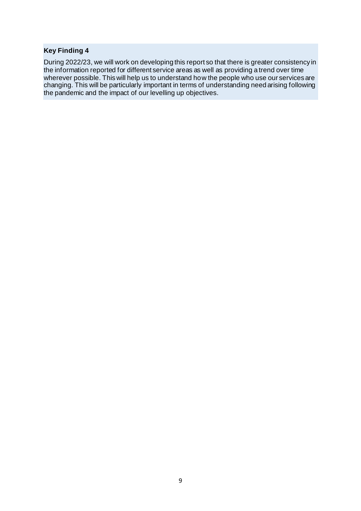#### **Key Finding 4**

During 2022/23, we will work on developing this report so that there is greater consistency in the information reported for different service areas as well as providing a trend over time wherever possible. This will help us to understand how the people who use our services are changing. This will be particularly important in terms of understanding need arising following the pandemic and the impact of our levelling up objectives.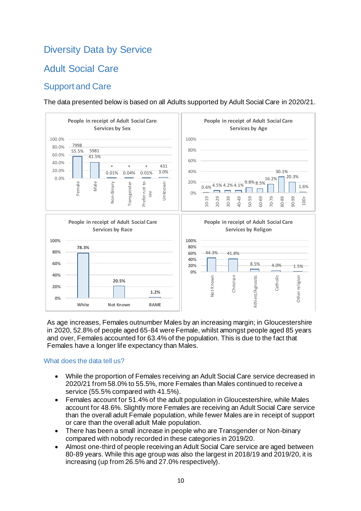# Diversity Data by Service

# Adult Social Care

# Support and Care

The data presented below is based on all Adults supported by Adult Social Care in 2020/21.



As age increases, Females outnumber Males by an increasing margin; in Gloucestershire in 2020, 52.8% of people aged 65-84 were Female, whilst amongst people aged 85 years and over, Females accounted for 63.4% of the population. This is due to the fact that Females have a longer life expectancy than Males.

#### What does the data tell us?

- While the proportion of Females receiving an Adult Social Care service decreased in 2020/21 from 58.0% to 55.5%, more Females than Males continued to receive a service (55.5% compared with 41.5%).
- Females account for 51.4% of the adult population in Gloucestershire, while Males account for 48.6%. Slightly more Females are receiving an Adult Social Care service than the overall adult Female population, while fewer Males are in receipt of support or care than the overall adult Male population.
- There has been a small increase in people who are Transgender or Non-binary compared with nobody recorded in these categories in 2019/20.
- Almost one-third of people receiving an Adult Social Care service are aged between 80-89 years. While this age group was also the largest in 2018/19 and 2019/20, it is increasing (up from 26.5% and 27.0% respectively).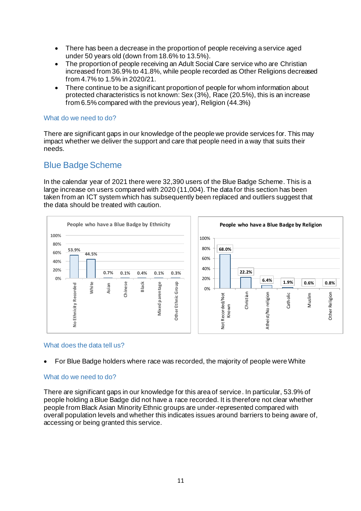- There has been a decrease in the proportion of people receiving a service aged under 50 years old (down from 18.6% to 13.5%).
- The proportion of people receiving an Adult Social Care service who are Christian increased from 36.9% to 41.8%, while people recorded as Other Religions decreased from 4.7% to 1.5% in 2020/21.
- There continue to be a significant proportion of people for whom information about protected characteristics is not known: Sex (3%), Race (20.5%), this is an increase from 6.5% compared with the previous year), Religion (44.3%)

#### What do we need to do?

There are significant gaps in our knowledge of the people we provide services for. This may impact whether we deliver the support and care that people need in a way that suits their needs.

### Blue Badge Scheme

In the calendar year of 2021 there were 32,390 users of the Blue Badge Scheme. This is a large increase on users compared with 2020 (11,004). The data for this section has been taken from an ICT system which has subsequently been replaced and outliers suggest that the data should be treated with caution.



#### What does the data tell us?

• For Blue Badge holders where race was recorded, the majority of people were White

#### What do we need to do?

There are significant gaps in our knowledge for this area of service. In particular, 53.9% of people holding a Blue Badge did not have a race recorded. It is therefore not clear whether people from Black Asian Minority Ethnic groups are under-represented compared with overall population levels and whether this indicates issues around barriers to being aware of, accessing or being granted this service.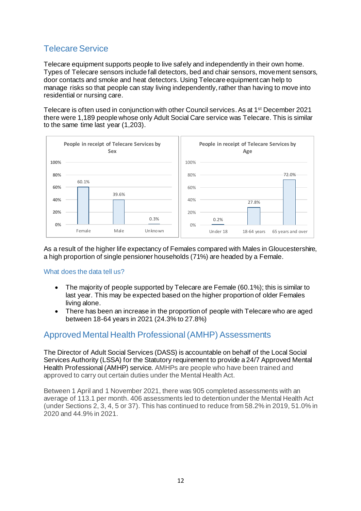# Telecare Service

Telecare equipment supports people to live safely and independently in their own home. Types of Telecare sensors include fall detectors, bed and chair sensors, movement sensors, door contacts and smoke and heat detectors. Using Telecare equipment can help to manage risks so that people can stay living independently, rather than having to move into residential or nursing care.

Telecare is often used in conjunction with other Council services. As at 1 st December 2021 there were 1,189 people whose only Adult Social Care service was Telecare. This is similar to the same time last year (1,203).



As a result of the higher life expectancy of Females compared with Males in Gloucestershire, a high proportion of single pensioner households (71%) are headed by a Female.

What does the data tell us?

- The majority of people supported by Telecare are Female (60.1%); this is similar to last year. This may be expected based on the higher proportion of older Females living alone.
- There has been an increase in the proportion of people with Telecare who are aged between 18-64 years in 2021 (24.3% to 27.8%)

# Approved Mental Health Professional (AMHP) Assessments

The Director of Adult Social Services (DASS) is accountable on behalf of the Local Social Services Authority (LSSA) for the Statutory requirement to provide a 24/7 Approved Mental Health Professional (AMHP) service. AMHPs are people who have been trained and approved to carry out certain duties under the Mental Health Act.

Between 1 April and 1 November 2021, there was 905 completed assessments with an average of 113.1 per month. 406 assessments led to detention under the Mental Health Act (under Sections 2, 3, 4, 5 or 37). This has continued to reduce from 58.2% in 2019, 51.0% in 2020 and 44.9% in 2021.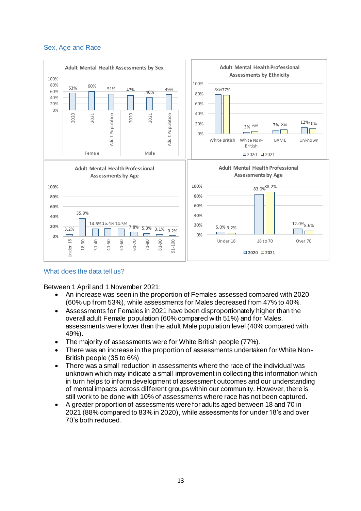#### Sex, Age and Race



#### What does the data tell us?

Between 1 April and 1 November 2021:

- An increase was seen in the proportion of Females assessed compared with 2020 (60% up from 53%), while assessments for Males decreased from 47% to 40%.
- Assessments for Females in 2021 have been disproportionately higher than the overall adult Female population (60% compared with 51%) and for Males, assessments were lower than the adult Male population level (40% compared with 49%).
- The majority of assessments were for White British people (77%).
- There was an increase in the proportion of assessments undertaken for White Non-British people (35 to 6%)
- There was a small reduction in assessments where the race of the individual was unknown which may indicate a small improvement in collecting this information which in turn helps to inform development of assessment outcomes and our understanding of mental impacts across different groups within our community. However, there is still work to be done with 10% of assessments where race has not been captured.
- A greater proportion of assessments were for adults aged between 18 and 70 in 2021 (88% compared to 83% in 2020), while assessments for under 18's and over 70's both reduced.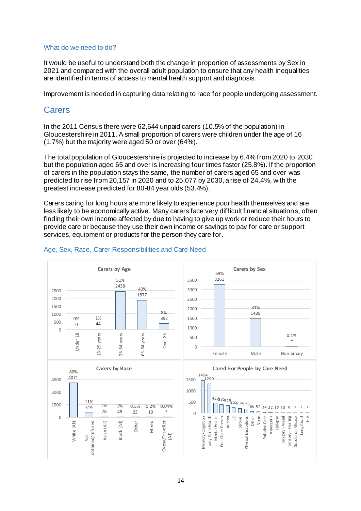#### What do we need to do?

It would be useful to understand both the change in proportion of assessments by Sex in 2021 and compared with the overall adult population to ensure that any health inequalities are identified in terms of access to mental health support and diagnosis.

Improvement is needed in capturing data relating to race for people undergoing assessment.

### **Carers**

In the 2011 Census there were 62,644 unpaid carers (10.5% of the population) in Gloucestershire in 2011. A small proportion of carers were children under the age of 16 (1.7%) but the majority were aged 50 or over (64%).

The total population of Gloucestershire is projected to increase by 6.4% from 2020 to 2030 but the population aged 65 and over is increasing four times faster (25.8%). If the proportion of carers in the population stays the same, the number of carers aged 65 and over was predicted to rise from 20,157 in 2020 and to 25,077 by 2030, a rise of 24.4%, with the greatest increase predicted for 80-84 year olds (53.4%).

Carers caring for long hours are more likely to experience poor health themselves and are less likely to be economically active. Many carers face very difficult financial situations, often finding their own income affected by due to having to give up work or reduce their hours to provide care or because they use their own income or savings to pay for care or support services, equipment or products for the person they care for.



#### Age, Sex, Race, Carer Responsibilities and Care Need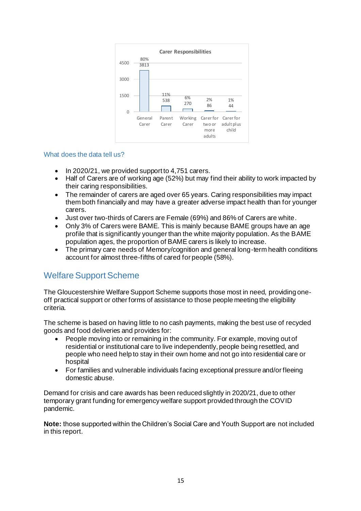

#### What does the data tell us?

- In 2020/21, we provided support to 4,751 carers.
- Half of Carers are of working age (52%) but may find their ability to work impacted by their caring responsibilities.
- The remainder of carers are aged over 65 years. Caring responsibilities may impact them both financially and may have a greater adverse impact health than for younger carers.
- Just over two-thirds of Carers are Female (69%) and 86% of Carers are white.
- Only 3% of Carers were BAME. This is mainly because BAME groups have an age profile that is significantly younger than the white majority population. As the BAME population ages, the proportion of BAME carers is likely to increase.
- The primary care needs of Memory/cognition and general long-term health conditions account for almost three-fifths of cared for people (58%).

# Welfare Support Scheme

The Gloucestershire Welfare Support Scheme supports those most in need, providing oneoff practical support or other forms of assistance to those people meeting the eligibility criteria.

The scheme is based on having little to no cash payments, making the best use of recycled goods and food deliveries and provides for:

- People moving into or remaining in the community. For example, moving out of residential or institutional care to live independently, people being resettled, and people who need help to stay in their own home and not go into residential care or hospital
- For families and vulnerable individuals facing exceptional pressure and/or fleeing domestic abuse.

Demand for crisis and care awards has been reduced slightly in 2020/21, due to other temporary grant funding for emergency welfare support provided through the COVID pandemic.

**Note:** those supported within the Children's Social Care and Youth Support are not included in this report.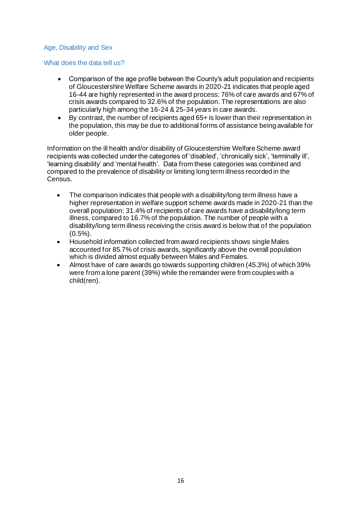#### Age, Disability and Sex

#### What does the data tell us?

- Comparison of the age profile between the County's adult population and recipients of Gloucestershire Welfare Scheme awards in 2020-21 indicates that people aged 16-44 are highly represented in the award process: 76% of care awards and 67% of crisis awards compared to 32.6% of the population. The representations are also particularly high among the 16-24 & 25-34 years in care awards.
- By contrast, the number of recipients aged 65+ is lower than their representation in the population, this may be due to additional forms of assistance being available for older people.

Information on the ill health and/or disability of Gloucestershire Welfare Scheme award recipients was collected under the categories of 'disabled', 'chronically sick', 'terminally ill', 'learning disability' and 'mental health'. Data from these categories was combined and compared to the prevalence of disability or limiting long term illness recorded in the Census.

- The comparison indicates that people with a disability/long term illness have a higher representation in welfare support scheme awards made in 2020-21 than the overall population: 31.4% of recipients of care awards have a disability/long term illness, compared to 16.7% of the population. The number of people with a disability/long term illness receiving the crisis award is below that of the population (0.5%).
- Household information collected from award recipients shows single Males accounted for 85.7% of crisis awards, significantly above the overall population which is divided almost equally between Males and Females.
- Almost have of care awards go towards supporting children (45.3%) of which 39% were from a lone parent (39%) while the remainder were from couples with a child(ren).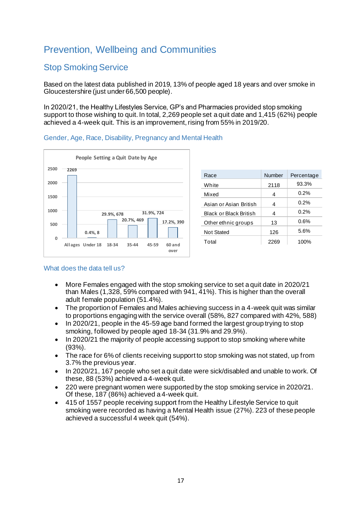# Prevention, Wellbeing and Communities

# Stop Smoking Service

Based on the latest data published in 2019, 13% of people aged 18 years and over smoke in Gloucestershire (just under 66,500 people).

In 2020/21, the Healthy Lifestyles Service, GP's and Pharmacies provided stop smoking support to those wishing to quit. In total, 2,269 people set a quit date and 1,415 (62%) people achieved a 4-week quit. This is an improvement, rising from 55% in 2019/20.



| 2269 |                          |
|------|--------------------------|
|      |                          |
|      |                          |
|      | 31.9%, 724<br>29.9%, 678 |
|      | 20.7%, 469<br>17.2%, 390 |
|      | $0.4\%$ , $8$            |

| Race                          | Number | Percentage |
|-------------------------------|--------|------------|
| White                         | 2118   | 93.3%      |
| Mixed                         | 4      | 0.2%       |
| Asian or Asian British        | 4      | 0.2%       |
| <b>Black or Black British</b> | 4      | 0.2%       |
| Other ethnic groups           | 13     | 0.6%       |
| <b>Not Stated</b>             | 126    | 5.6%       |
| Total                         | 2269   | 100%       |

#### Gender, Age, Race, Disability, Pregnancy and Mental Health

#### What does the data tell us?

- More Females engaged with the stop smoking service to set a quit date in 2020/21 than Males (1,328, 59% compared with 941, 41%). This is higher than the overall adult female population (51.4%).
- The proportion of Females and Males achieving success in a 4-week quit was similar to proportions engaging with the service overall (58%, 827 compared with 42%, 588)
- In 2020/21, people in the 45-59 age band formed the largest group trying to stop smoking, followed by people aged 18-34 (31.9% and 29.9%).
- In 2020/21 the majority of people accessing support to stop smoking where white (93%).
- The race for 6% of clients receiving support to stop smoking was not stated, up from 3.7% the previous year.
- In 2020/21, 167 people who set a quit date were sick/disabled and unable to work. Of these, 88 (53%) achieved a 4-week quit.
- 220 were pregnant women were supported by the stop smoking service in 2020/21. Of these, 187 (86%) achieved a 4-week quit.
- 415 of 1557 people receiving support from the Healthy Lifestyle Service to quit smoking were recorded as having a Mental Health issue (27%). 223 of these people achieved a successful 4 week quit (54%).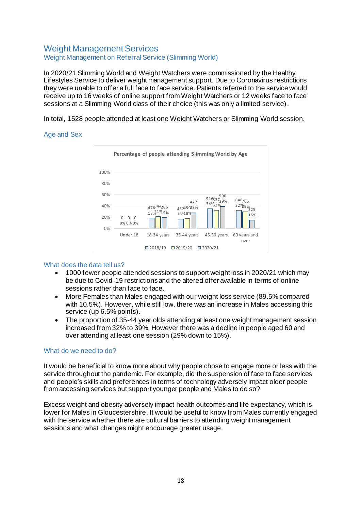### Weight Management Services Weight Management on Referral Service (Slimming World)

In 2020/21 Slimming World and Weight Watchers were commissioned by the Healthy Lifestyles Service to deliver weight management support. Due to Coronavirus restrictions they were unable to offer a full face to face service. Patients referred to the service would receive up to 16 weeks of online support from Weight Watchers or 12 weeks face to face sessions at a Slimming World class of their choice (this was only a limited service).

In total, 1528 people attended at least one Weight Watchers or Slimming World session.

#### Age and Sex



#### What does the data tell us?

- 1000 fewer people attended sessions to support weight loss in 2020/21 which may be due to Covid-19 restrictions and the altered offer available in terms of online sessions rather than face to face.
- More Females than Males engaged with our weight loss service (89.5% compared with 10.5%). However, while still low, there was an increase in Males accessing this service (up 6.5% points).
- The proportion of 35-44 year olds attending at least one weight management session increased from 32% to 39%. However there was a decline in people aged 60 and over attending at least one session (29% down to 15%).

#### What do we need to do?

It would be beneficial to know more about why people chose to engage more or less with the service throughout the pandemic. For example, did the suspension of face to face services and people's skills and preferences in terms of technology adversely impact older people from accessing services but support younger people and Males to do so?

Excess weight and obesity adversely impact health outcomes and life expectancy, which is lower for Males in Gloucestershire. It would be useful to know from Males currently engaged with the service whether there are cultural barriers to attending weight management sessions and what changes might encourage greater usage.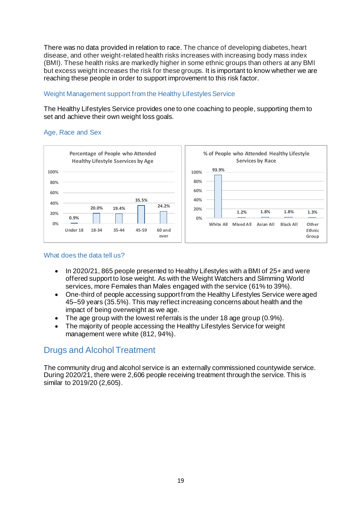There was no data provided in relation to race. The chance of developing diabetes, heart disease, and other weight-related health risks increases with increasing body mass index (BMI). These health risks are markedly higher in some ethnic groups than others at any BMI but excess weight increases the risk for these groups. It is important to know whether we are reaching these people in order to support improvement to this risk factor.

#### Weight Management support from the Healthy Lifestyles Service

The Healthy Lifestyles Service provides one to one coaching to people, supporting them to set and achieve their own weight loss goals.

#### Age, Race and Sex



#### What does the data tell us?

- In 2020/21, 865 people presented to Healthy Lifestyles with a BMI of 25+ and were offered support to lose weight. As with the Weight Watchers and Slimming World services, more Females than Males engaged with the service (61% to 39%).
- One-third of people accessing support from the Healthy Lifestyles Service were aged 45–59 years (35.5%). This may reflect increasing concerns about health and the impact of being overweight as we age.
- The age group with the lowest referrals is the under 18 age group (0.9%).
- The majority of people accessing the Healthy Lifestyles Service for weight management were white (812, 94%).

# Drugs and Alcohol Treatment

The community drug and alcohol service is an externally commissioned countywide service. During 2020/21, there were 2,606 people receiving treatment through the service. This is similar to 2019/20 (2,605).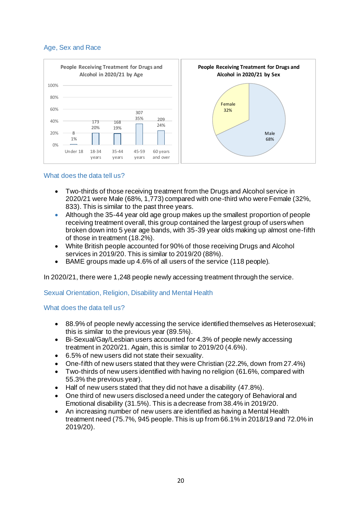#### Age, Sex and Race



#### What does the data tell us?

- Two-thirds of those receiving treatment from the Drugs and Alcohol service in 2020/21 were Male (68%, 1,773) compared with one-third who were Female (32%, 833). This is similar to the past three years.
- Although the 35-44 year old age group makes up the smallest proportion of people receiving treatment overall, this group contained the largest group of users when broken down into 5 year age bands, with 35-39 year olds making up almost one-fifth of those in treatment (18.2%).
- White British people accounted for 90% of those receiving Drugs and Alcohol services in 2019/20. This is similar to 2019/20 (88%).
- BAME groups made up 4.6% of all users of the service (118 people).

In 2020/21, there were 1,248 people newly accessing treatment through the service.

#### Sexual Orientation, Religion, Disability and Mental Health

#### What does the data tell us?

- 88.9% of people newly accessing the service identified themselves as Heterosexual; this is similar to the previous year (89.5%).
- Bi-Sexual/Gay/Lesbian users accounted for 4.3% of people newly accessing treatment in 2020/21. Again, this is similar to 2019/20 (4.6%).
- 6.5% of new users did not state their sexuality.
- One-fifth of new users stated that they were Christian (22.2%, down from 27.4%)
- Two-thirds of new users identified with having no religion (61.6%, compared with 55.3% the previous year).
- Half of new users stated that they did not have a disability (47.8%).
- One third of new users disclosed a need under the category of Behavioral and Emotional disability (31.5%). This is a decrease from 38.4% in 2019/20.
- An increasing number of new users are identified as having a Mental Health treatment need (75.7%, 945 people. This is up from 66.1% in 2018/19 and 72.0% in 2019/20).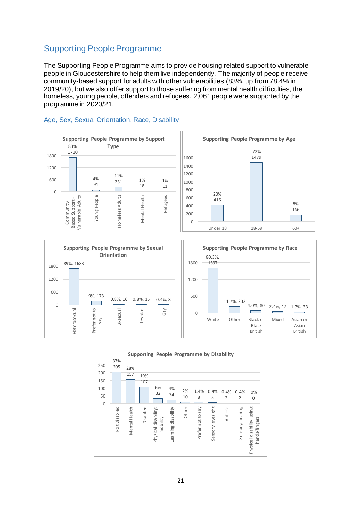# Supporting People Programme

The Supporting People Programme aims to provide housing related support to vulnerable people in Gloucestershire to help them live independently. The majority of people receive community-based support for adults with other vulnerabilities (83%, up from 78.4% in 2019/20), but we also offer support to those suffering from mental health difficulties, the homeless, young people, offenders and refugees. 2,061 people were supported by the programme in 2020/21.

#### **Supporting People Programme by Support Supporting People Programme by Age** 83% **Type** 1710 72% 1800 1479 1600 1400 1200 1200 11% 4% 600  $\frac{231}{231}$  1% 1% 1000 91 18 11  $\Box$ 800  $\Omega$ 20% Mental Health Refugees Young People **domeless Adults** /ulnerable Adults Homeless Adults 600 Vulnerable Adults 416 Based Support-Based Support - Community-Community-400 200 0 Under 18 18-59 60+





8% 166

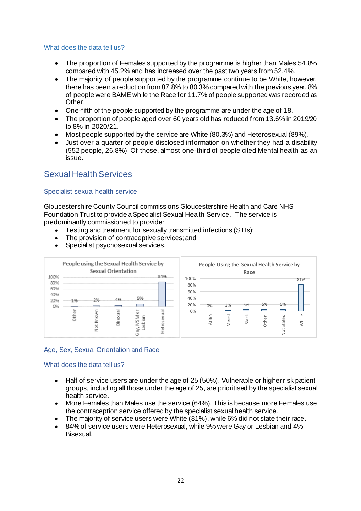#### What does the data tell us?

- The proportion of Females supported by the programme is higher than Males 54.8% compared with 45.2% and has increased over the past two years from 52.4%.
- The majority of people supported by the programme continue to be White, however, there has been a reduction from 87.8% to 80.3% compared with the previous year. 8% of people were BAME while the Race for 11.7% of people supported was recorded as Other.
- One-fifth of the people supported by the programme are under the age of 18.
- The proportion of people aged over 60 years old has reduced from 13.6% in 2019/20 to 8% in 2020/21.
- Most people supported by the service are White (80.3%) and Heterosexual (89%).
- Just over a quarter of people disclosed information on whether they had a disability (552 people, 26.8%). Of those, almost one-third of people cited Mental health as an issue.

### Sexual Health Services

#### Specialist sexual health service

Gloucestershire County Council commissions Gloucestershire Health and Care NHS Foundation Trust to provide a Specialist Sexual Health Service. The service is predominantly commissioned to provide:

- Testing and treatment for sexually transmitted infections (STIs);
- The provision of contraceptive services; and
- Specialist psychosexual services.



#### Age, Sex, Sexual Orientation and Race

#### What does the data tell us?

- Half of service users are under the age of 25 (50%). Vulnerable or higher risk patient groups, including all those under the age of 25, are prioritised by the specialist sexual health service.
- More Females than Males use the service (64%). This is because more Females use the contraception service offered by the specialist sexual health service.
- The majority of service users were White (81%), while 6% did not state their race.
- 84% of service users were Heterosexual, while 9% were Gay or Lesbian and 4% Bisexual.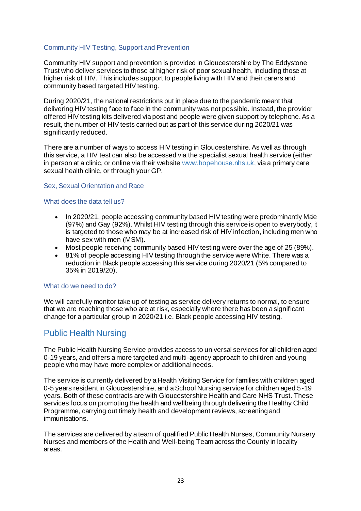#### Community HIV Testing, Support and Prevention

Community HIV support and prevention is provided in Gloucestershire by The Eddystone Trust who deliver services to those at higher risk of poor sexual health, including those at higher risk of HIV. This includes support to people living with HIV and their carers and community based targeted HIV testing.

During 2020/21, the national restrictions put in place due to the pandemic meant that delivering HIV testing face to face in the community was not possible. Instead, the provider offered HIV testing kits delivered via post and people were given support by telephone. As a result, the number of HIV tests carried out as part of this service during 2020/21 was significantly reduced.

There are a number of ways to access HIV testing in Gloucestershire. As well as through this service, a HIV test can also be accessed via the specialist sexual health service (either in person at a clinic, or online via their websit[e www.hopehouse.nhs.uk](http://www.hopehouse.nhs.uk/), via a primary care sexual health clinic, or through your GP.

#### Sex, Sexual Orientation and Race

#### What does the data tell us?

- In 2020/21, people accessing community based HIV testing were predominantly Male (97%) and Gay (92%). Whilst HIV testing through this service is open to everybody, it is targeted to those who may be at increased risk of HIV infection, including men who have sex with men (MSM).
- Most people receiving community based HIV testing were over the age of 25 (89%).<br>• 81% of people accessing HIV testing through the service were White. There was a
- 81% of people accessing HIV testing through the service were White. There was a reduction in Black people accessing this service during 2020/21 (5% compared to 35% in 2019/20).

#### What do we need to do?

We will carefully monitor take up of testing as service delivery returns to normal, to ensure that we are reaching those who are at risk, especially where there has been a significant change for a particular group in 2020/21 i.e. Black people accessing HIV testing.

### Public Health Nursing

The Public Health Nursing Service provides access to universal services for all children aged 0-19 years, and offers a more targeted and multi-agency approach to children and young people who may have more complex or additional needs.

The service is currently delivered by a Health Visiting Service for families with children aged 0-5 years resident in Gloucestershire, and a School Nursing service for children aged 5-19 years. Both of these contracts are with Gloucestershire Health and Care NHS Trust. These services focus on promoting the health and wellbeing through delivering the Healthy Child Programme, carrying out timely health and development reviews, screening and immunisations.

The services are delivered by a team of qualified Public Health Nurses, Community Nursery Nurses and members of the Health and Well-being Team across the County in locality areas.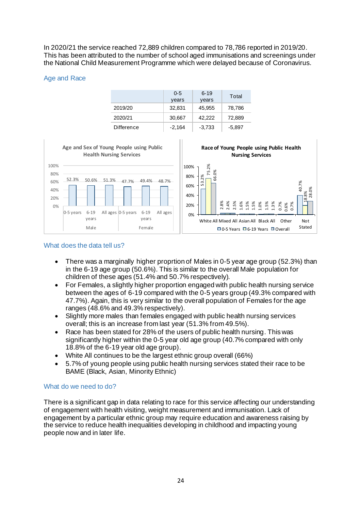In 2020/21 the service reached 72,889 children compared to 78,786 reported in 2019/20. This has been attributed to the number of school aged immunisations and screenings under the National Child Measurement Programme which were delayed because of Coronavirus.

#### Age and Race

|            | $0 - 5$<br>years | $6 - 19$<br>years | Total    |
|------------|------------------|-------------------|----------|
| 2019/20    | 32,831           | 45,955            | 78,786   |
| 2020/21    | 30,667           | 42,222            | 72,889   |
| Difference | $-2,164$         | $-3,733$          | $-5,897$ |



#### What does the data tell us?

- There was a marginally higher proprtion of Males in 0-5 year age group (52.3%) than in the 6-19 age group (50.6%). This is similar to the overall Male population for children of these ages (51.4% and 50.7% respectively).
- For Females, a slightly higher proportion engaged with public health nursing service between the ages of 6-19 compared with the 0-5 years group (49.3% compared with 47.7%). Again, this is very similar to the overall population of Females for the age ranges (48.6% and 49.3% respectively).
- Slightly more males than females engaged with public health nursing services overall; this is an increase from last year (51.3% from 49.5%).
- Race has been stated for 28% of the users of public health nursing. This was significantly higher within the 0-5 year old age group (40.7% compared with only 18.8% of the 6-19 year old age group).
- White All continues to be the largest ethnic group overall (66%)
- 5.7% of young people using public health nursing services stated their race to be BAME (Black, Asian, Minority Ethnic)

#### What do we need to do?

There is a significant gap in data relating to race for this service affecting our understanding of engagement with health visiting, weight measurement and immunisation. Lack of engagement by a particular ethnic group may require education and awareness raising by the service to reduce health inequalities developing in childhood and impacting young people now and in later life.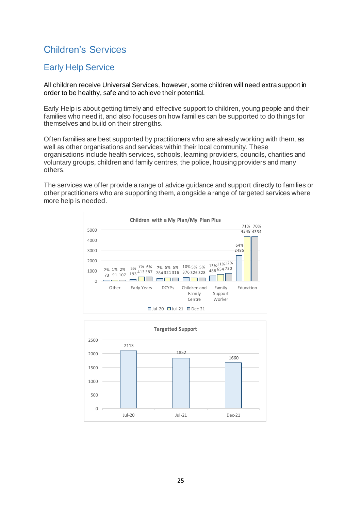# Children's Services

# Early Help Service

All children receive Universal Services, however, some children will need extra support in order to be healthy, safe and to achieve their potential.

Early Help is about getting timely and effective support to children, young people and their families who need it, and also focuses on how families can be supported to do things for themselves and build on their strengths.

Often families are best supported by practitioners who are already working with them, as well as other organisations and services within their local community. These organisations include health services, schools, learning providers, councils, charities and voluntary groups, children and family centres, the police, housing providers and many others.

The services we offer provide a range of advice guidance and support directly to families or other practitioners who are supporting them, alongside a range of targeted services where more help is needed.



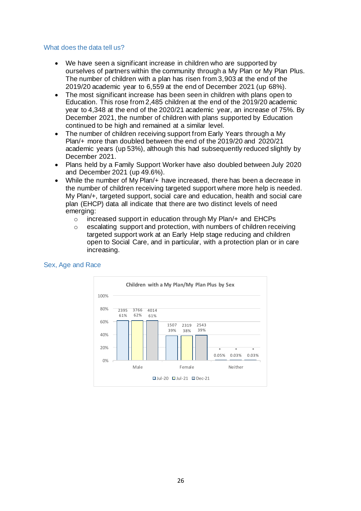#### What does the data tell us?

- We have seen a significant increase in children who are supported by ourselves of partners within the community through a My Plan or My Plan Plus. The number of children with a plan has risen from 3,903 at the end of the 2019/20 academic year to 6,559 at the end of December 2021 (up 68%).
- The most significant increase has been seen in children with plans open to Education. This rose from 2,485 children at the end of the 2019/20 academic year to 4,348 at the end of the 2020/21 academic year, an increase of 75%. By December 2021, the number of children with plans supported by Education continued to be high and remained at a similar level.
- The number of children receiving support from Early Years through a My Plan/+ more than doubled between the end of the 2019/20 and 2020/21 academic years (up 53%), although this had subsequently reduced slightly by December 2021.
- Plans held by a Family Support Worker have also doubled between July 2020 and December 2021 (up 49.6%).
- While the number of My Plan/+ have increased, there has been a decrease in the number of children receiving targeted support where more help is needed. My Plan/+, targeted support, social care and education, health and social care plan (EHCP) data all indicate that there are two distinct levels of need emerging:
	- o increased support in education through My Plan/+ and EHCPs
	- $\circ$  escalating support and protection, with numbers of children receiving targeted support work at an Early Help stage reducing and children open to Social Care, and in particular, with a protection plan or in care increasing.



#### Sex, Age and Race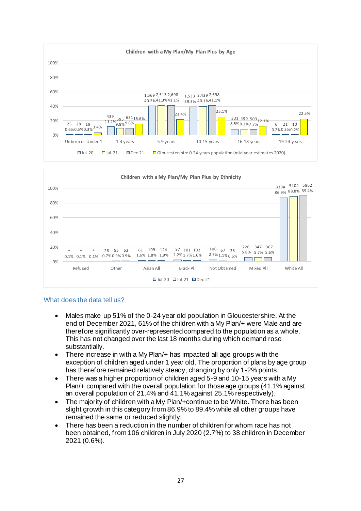



#### What does the data tell us?

- Males make up 51% of the 0-24 year old population in Gloucestershire. At the end of December 2021, 61% of the children with a My Plan/+ were Male and are therefore significantly over-represented compared to the population as a whole. This has not changed over the last 18 months during which demand rose substantially.
- There increase in with a My Plan/+ has impacted all age groups with the exception of children aged under 1 year old. The proportion of plans by age group has therefore remained relatively steady, changing by only 1-2% points.
- There was a higher proportion of children aged 5-9 and 10-15 years with a My Plan/+ compared with the overall population for those age groups (41.1% against an overall population of 21.4% and 41.1% against 25.1% respectively).
- The majority of children with a My Plan/+continue to be White. There has been slight growth in this category from 86.9% to 89.4% while all other groups have remained the same or reduced slightly.
- There has been a reduction in the number of children for whom race has not been obtained, from 106 children in July 2020 (2.7%) to 38 children in December 2021 (0.6%).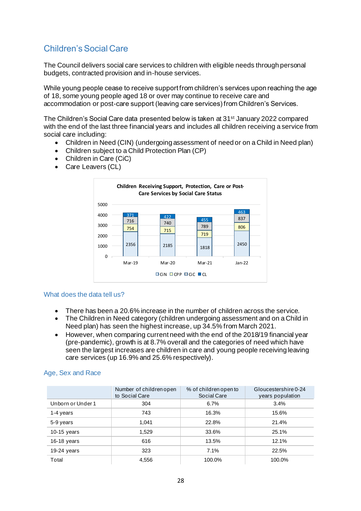# Children's Social Care

The Council delivers social care services to children with eligible needs through personal budgets, contracted provision and in-house services.

While young people cease to receive support from children's services upon reaching the age of 18, some young people aged 18 or over may continue to receive care and accommodation or post-care support (leaving care services) from Children's Services.

The Children's Social Care data presented below is taken at 31<sup>st</sup> January 2022 compared with the end of the last three financial years and includes all children receiving a service from social care including:

- Children in Need (CIN) (undergoing assessment of need or on a Child in Need plan)
- Children subject to a Child Protection Plan (CP)
- Children in Care (CiC)
- Care Leavers (CL)



#### What does the data tell us?

- There has been a 20.6% increase in the number of children across the service.
- The Children in Need category (children undergoing assessment and on a Child in Need plan) has seen the highest increase, up 34.5% from March 2021.
- However, when comparing current need with the end of the 2018/19 financial year (pre-pandemic), growth is at 8.7% overall and the categories of need which have seen the largest increases are children in care and young people receiving leaving care services (up 16.9% and 25.6% respectively).

#### Age, Sex and Race

|                   | Number of children open<br>to Social Care | % of children open to<br>Social Care | Gloucestershire 0-24<br>years population |
|-------------------|-------------------------------------------|--------------------------------------|------------------------------------------|
| Unborn or Under 1 | 304                                       | 6.7%                                 | 3.4%                                     |
| 1-4 years         | 743                                       | 16.3%                                | 15.6%                                    |
| 5-9 years         | 1,041                                     | 22.8%                                | 21.4%                                    |
| $10-15$ years     | 1,529                                     | 33.6%                                | 25.1%                                    |
| $16-18$ years     | 616                                       | 13.5%                                | 12.1%                                    |
| $19-24$ years     | 323                                       | 7.1%                                 | 22.5%                                    |
| Total             | 4.556                                     | 100.0%                               | 100.0%                                   |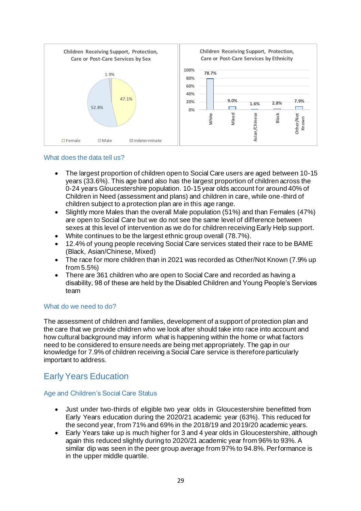

#### What does the data tell us?

- The largest proportion of children open to Social Care users are aged between 10-15 years (33.6%). This age band also has the largest proportion of children across the 0-24 years Gloucestershire population. 10-15 year olds account for around 40% of Children in Need (assessment and plans) and children in care, while one-third of children subject to a protection plan are in this age range.
- Slightly more Males than the overall Male population (51%) and than Females (47%) are open to Social Care but we do not see the same level of difference between sexes at this level of intervention as we do for children receiving Early Help support.
- White continues to be the largest ethnic group overall (78.7%).
- 12.4% of young people receiving Social Care services stated their race to be BAME (Black, Asian/Chinese, Mixed)
- The race for more children than in 2021 was recorded as Other/Not Known (7.9% up from 5.5%)
- There are 361 children who are open to Social Care and recorded as having a disability, 98 of these are held by the Disabled Children and Young People's Services team

#### What do we need to do?

The assessment of children and families, development of a support of protection plan and the care that we provide children who we look after should take into race into account and how cultural background may inform what is happening within the home or what factors need to be considered to ensure needs are being met appropriately. The gap in our knowledge for 7.9% of children receiving a Social Care service is therefore particularly important to address.

# Early Years Education

#### Age and Children's Social Care Status

- Just under two-thirds of eligible two year olds in Gloucestershire benefitted from Early Years education during the 2020/21 academic year (63%). This reduced for the second year, from 71% and 69% in the 2018/19 and 2019/20 academic years.
- Early Years take up is much higher for 3 and 4 year olds in Gloucestershire, although again this reduced slightly during to 2020/21 academic year from 96% to 93%. A similar dip was seen in the peer group average from 97% to 94.8%. Performance is in the upper middle quartile.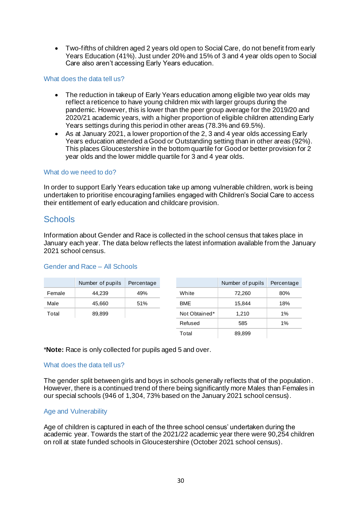• Two-fifths of children aged 2 years old open to Social Care, do not benefit from early Years Education (41%). Just under 20% and 15% of 3 and 4 year olds open to Social Care also aren't accessing Early Years education.

#### What does the data tell us?

- The reduction in takeup of Early Years education among eligible two year olds may reflect a reticence to have young children mix with larger groups during the pandemic. However, this is lower than the peer group average for the 2019/20 and 2020/21 academic years, with a higher proportion of eligible children attending Early Years settings during this period in other areas (78.3% and 69.5%).
- As at January 2021, a lower proportion of the 2, 3 and 4 year olds accessing Early Years education attended a Good or Outstanding setting than in other areas (92%). This places Gloucestershire in the bottom quartile for Good or better provision for 2 year olds and the lower middle quartile for 3 and 4 year olds.

#### What do we need to do?

In order to support Early Years education take up among vulnerable children, work is being undertaken to prioritise encouraging families engaged with Children's Social Care to access their entitlement of early education and childcare provision.

### **Schools**

Information about Gender and Race is collected in the school census that takes place in January each year. The data below reflects the latest information available from the January 2021 school census.

|        | Number of pupils | Percentage |               | Number of pupils | Percentage |
|--------|------------------|------------|---------------|------------------|------------|
| Female | 44.239           | 49%        | White         | 72,260           | 80%        |
| Male   | 45,660           | 51%        | <b>BME</b>    | 15.844           | 18%        |
| Total  | 89,899           |            | Not Obtained* | 1.210            | 1%         |
|        |                  |            | Refused       | 585              | 1%         |
|        |                  |            | Total         | 89,899           |            |

#### Gender and Race – All Schools

\***Note:** Race is only collected for pupils aged 5 and over.

#### What does the data tell us?

The gender split between girls and boys in schools generally reflects that of the population. However, there is a continued trend of there being significantly more Males than Females in our special schools (946 of 1,304, 73% based on the January 2021 school census).

#### Age and Vulnerability

Age of children is captured in each of the three school census' undertaken during the academic year. Towards the start of the 2021/22 academic year there were 90,254 children on roll at state funded schools in Gloucestershire (October 2021 school census).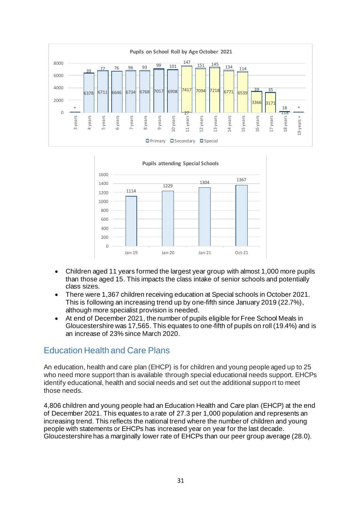



- Children aged 11 years formed the largest year group with almost 1,000 more pupils than those aged 15. This impacts the class intake of senior schools and potentially class sizes.
- There were 1,367 children receiving education at Special schools in October 2021. This is following an increasing trend up by one-fifth since January 2019 (22.7%), although more specialist provision is needed.
- At end of December 2021, the number of pupils eligible for Free School Meals in Gloucestershire was 17,565. This equates to one-fifth of pupils on roll (19.4%) and is an increase of 23% since March 2020.

# Education Health and Care Plans

An education, health and care plan (EHCP) is for children and young people aged up to 25 who need more support than is available through special educational needs support. EHCPs identify educational, health and social needs and set out the additional support to meet those needs.

4,806 children and young people had an Education Health and Care plan (EHCP) at the end of December 2021. This equates to a rate of 27.3 per 1,000 population and represents an increasing trend. This reflects the national trend where the number of children and young people with statements or EHCPs has increased year on year for the last decade. Gloucestershire has a marginally lower rate of EHCPs than our peer group average (28.0).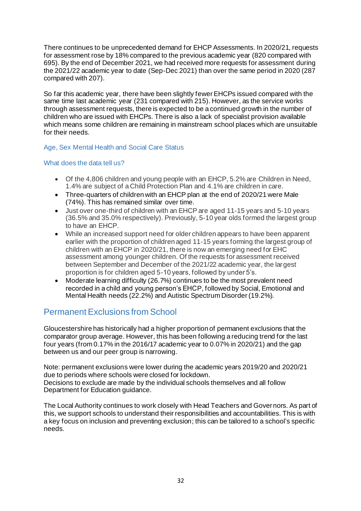There continues to be unprecedented demand for EHCP Assessments. In 2020/21, requests for assessment rose by 18% compared to the previous academic year (820 compared with 695). By the end of December 2021, we had received more requests for assessment during the 2021/22 academic year to date (Sep-Dec 2021) than over the same period in 2020 (287 compared with 207).

So far this academic year, there have been slightly fewer EHCPs issued compared with the same time last academic year (231 compared with 215). However, as the service works through assessment requests, there is expected to be a continued growth in the number of children who are issued with EHCPs. There is also a lack of specialist provision available which means some children are remaining in mainstream school places which are unsuitable for their needs.

#### Age, Sex Mental Health and Social Care Status

#### What does the data tell us?

- Of the 4,806 children and young people with an EHCP, 5.2% are Children in Need, 1.4% are subject of a Child Protection Plan and 4.1% are children in care.
- Three-quarters of children with an EHCP plan at the end of 2020/21 were Male (74%). This has remained similar over time.
- Just over one-third of children with an EHCP are aged 11-15 years and 5-10 years (36.5% and 35.0% respectively). Previously, 5-10 year olds formed the largest group to have an EHCP.
- While an increased support need for older children appears to have been apparent earlier with the proportion of children aged 11-15 years forming the largest group of children with an EHCP in 2020/21, there is now an emerging need for EHC assessment among younger children. Of the requests for assessment received between September and December of the 2021/22 academic year, the largest proportion is for children aged 5-10 years, followed by under 5's.
- Moderate learning difficulty (26.7%) continues to be the most prevalent need recorded in a child and young person's EHCP, followed by Social, Emotional and Mental Health needs (22.2%) and Autistic Spectrum Disorder (19.2%).

# Permanent Exclusions from School

Gloucestershire has historically had a higher proportion of permanent exclusions that the comparator group average. However, this has been following a reducing trend for the last four years (from 0.17% in the 2016/17 academic year to 0.07% in 2020/21) and the gap between us and our peer group is narrowing.

Note: permanent exclusions were lower during the academic years 2019/20 and 2020/21 due to periods where schools were closed for lockdown. Decisions to exclude are made by the individual schools themselves and all follow Department for Education guidance.

The Local Authority continues to work closely with Head Teachers and Governors. As part of this, we support schools to understand their responsibilities and accountabilities. This is with a key focus on inclusion and preventing exclusion; this can be tailored to a school's specific needs.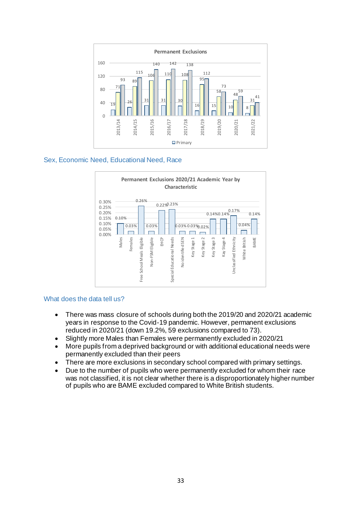

#### Sex, Economic Need, Educational Need, Race



#### What does the data tell us?

- There was mass closure of schools during both the 2019/20 and 2020/21 academic years in response to the Covid-19 pandemic. However, permanent exclusions reduced in 2020/21 (down 19.2%, 59 exclusions compared to 73).
- Slightly more Males than Females were permanently excluded in 2020/21
- More pupils from a deprived background or with additional educational needs were permanently excluded than their peers
- There are more exclusions in secondary school compared with primary settings.
- Due to the number of pupils who were permanently excluded for whom their race was not classified, it is not clear whether there is a disproportionately higher number of pupils who are BAME excluded compared to White British students.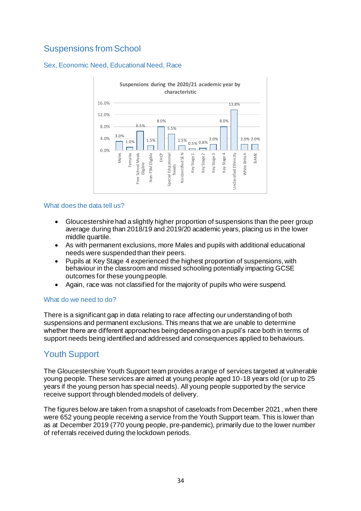# Suspensions from School

#### Sex, Economic Need, Educational Need, Race



#### What does the data tell us?

- Gloucestershire had a slightly higher proportion of suspensions than the peer group average during than 2018/19 and 2019/20 academic years, placing us in the lower middle quartile.
- As with permanent exclusions, more Males and pupils with additional educational needs were suspended than their peers.
- Pupils at Key Stage 4 experienced the highest proportion of suspensions, with behaviour in the classroom and missed schooling potentially impacting GCSE outcomes for these young people.
- Again, race was not classified for the majority of pupils who were suspend.

#### What do we need to do?

There is a significant gap in data relating to race affecting our understanding of both suspensions and permanent exclusions. This means that we are unable to determine whether there are different approaches being depending on a pupil's race both in terms of support needs being identified and addressed and consequences applied to behaviours.

# Youth Support

The Gloucestershire Youth Support team provides a range of services targeted at vulnerable young people. These services are aimed at young people aged 10-18 years old (or up to 25 years if the young person has special needs). All young people supported by the service receive support through blended models of delivery.

The figures below are taken from a snapshot of caseloads from December 2021, when there were 652 young people receiving a service from the Youth Support team. This is lower than as at December 2019 (770 young people, pre-pandemic), primarily due to the lower number of referrals received during the lockdown periods.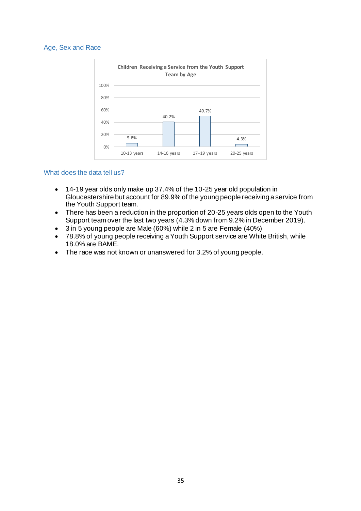#### Age, Sex and Race



#### What does the data tell us?

- 14-19 year olds only make up 37.4% of the 10-25 year old population in Gloucestershire but account for 89.9% of the young people receiving a service from the Youth Support team.
- There has been a reduction in the proportion of 20-25 years olds open to the Youth Support team over the last two years (4.3% down from 9.2% in December 2019).
- 3 in 5 young people are Male (60%) while 2 in 5 are Female (40%)
- 78.8% of young people receiving a Youth Support service are White British, while 18.0% are BAME.
- The race was not known or unanswered for 3.2% of young people.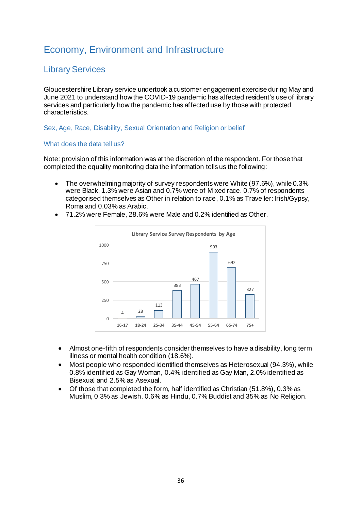# Economy, Environment and Infrastructure

# Library Services

Gloucestershire Library service undertook a customer engagement exercise during May and June 2021 to understand how the COVID-19 pandemic has affected resident's use of library services and particularly how the pandemic has affected use by those with protected characteristics.

Sex, Age, Race, Disability, Sexual Orientation and Religion or belief

#### What does the data tell us?

Note: provision of this information was at the discretion of the respondent. For those that completed the equality monitoring data the information tells us the following:

- The overwhelming majority of survey respondents were White (97.6%), while 0.3% were Black, 1.3% were Asian and 0.7% were of Mixed race. 0.7% of respondents categorised themselves as Other in relation to race, 0.1% as Traveller: Irish/Gypsy, Roma and 0.03% as Arabic.
- 71.2% were Female, 28.6% were Male and 0.2% identified as Other.



- Almost one-fifth of respondents consider themselves to have a disability, long term illness or mental health condition (18.6%).
- Most people who responded identified themselves as Heterosexual (94.3%), while 0.8% identified as Gay Woman, 0.4% identified as Gay Man, 2.0% identified as Bisexual and 2.5% as Asexual.
- Of those that completed the form, half identified as Christian (51.8%), 0.3% as Muslim, 0.3% as Jewish, 0.6% as Hindu, 0.7% Buddist and 35% as No Religion.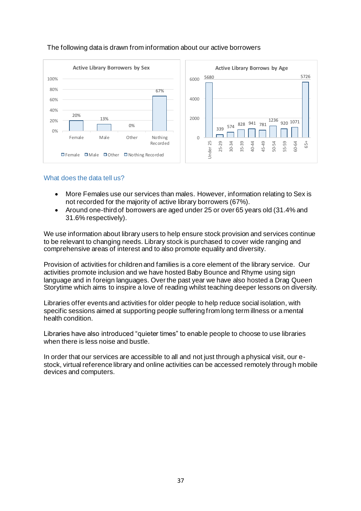

#### The following data is drawn from information about our active borrowers

#### What does the data tell us?

- More Females use our services than males. However, information relating to Sex is not recorded for the majority of active library borrowers (67%).
- Around one-third of borrowers are aged under 25 or over 65 years old (31.4% and 31.6% respectively).

We use information about library users to help ensure stock provision and services continue to be relevant to changing needs. Library stock is purchased to cover wide ranging and comprehensive areas of interest and to also promote equality and diversity.

Provision of activities for children and families is a core element of the library service. Our activities promote inclusion and we have hosted Baby Bounce and Rhyme using sign language and in foreign languages. Over the past year we have also hosted a Drag Queen Storytime which aims to inspire a love of reading whilst teaching deeper lessons on diversity.

Libraries offer events and activities for older people to help reduce social isolation, with specific sessions aimed at supporting people suffering from long term illness or a mental health condition.

Libraries have also introduced "quieter times" to enable people to choose to use libraries when there is less noise and bustle.

In order that our services are accessible to all and not just through a physical visit, our estock, virtual reference library and online activities can be accessed remotely through mobile devices and computers.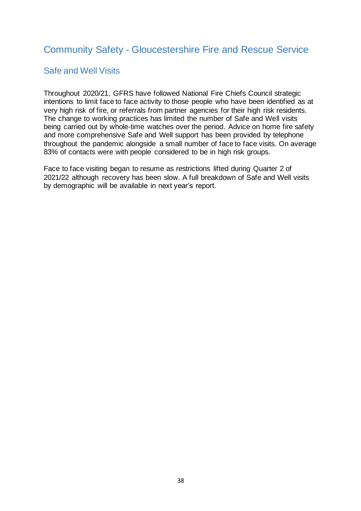# Community Safety - Gloucestershire Fire and Rescue Service

## Safe and Well Visits

Throughout 2020/21, GFRS have followed National Fire Chiefs Council strategic intentions to limit face to face activity to those people who have been identified as at very high risk of fire, or referrals from partner agencies for their high risk residents. The change to working practices has limited the number of Safe and Well visits being carried out by whole-time watches over the period. Advice on home fire safety and more comprehensive Safe and Well support has been provided by telephone throughout the pandemic alongside a small number of face to face visits. On average 83% of contacts were with people considered to be in high risk groups.

Face to face visiting began to resume as restrictions lifted during Quarter 2 of 2021/22 although recovery has been slow. A full breakdown of Safe and Well visits by demographic will be available in next year's report.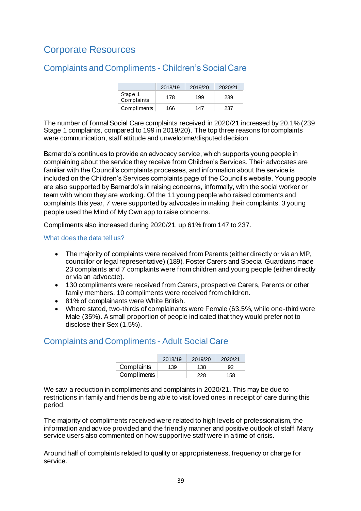# Corporate Resources

# Complaints and Compliments - Children's Social Care

|                       | 2018/19 | 2019/20 | 2020/21 |
|-----------------------|---------|---------|---------|
| Stage 1<br>Complaints | 178     | 199     | 239     |
| Compliments           | 166     | 147     | 237     |

The number of formal Social Care complaints received in 2020/21 increased by 20.1% (239 Stage 1 complaints, compared to 199 in 2019/20). The top three reasons for complaints were communication, staff attitude and unwelcome/disputed decision.

Barnardo's continues to provide an advocacy service, which supports young people in complaining about the service they receive from Children's Services. Their advocates are familiar with the Council's complaints processes, and information about the service is included on the Children's Services complaints page of the Council's website. Young people are also supported by Barnardo's in raising concerns, informally, with the social worker or team with whom they are working. Of the 11 young people who raised comments and complaints this year, 7 were supported by advocates in making their complaints. 3 young people used the Mind of My Own app to raise concerns.

Compliments also increased during 2020/21, up 61% from 147 to 237.

What does the data tell us?

- The majority of complaints were received from Parents (either directly or via an MP, councillor or legal representative) (189). Foster Carers and Special Guardians made 23 complaints and 7 complaints were from children and young people (either directly or via an advocate).
- 130 compliments were received from Carers, prospective Carers, Parents or other family members. 10 compliments were received from children.
- 81% of complainants were White British.
- Where stated, two-thirds of complainants were Female (63.5%, while one-third were Male (35%). A small proportion of people indicated that they would prefer not to disclose their Sex (1.5%).

### Complaints and Compliments - Adult Social Care

|             | 2018/19 | 2019/20 | 2020/21 |
|-------------|---------|---------|---------|
| Complaints  | 139     | 138     | 92      |
| Compliments |         | 228     | 158     |

We saw a reduction in compliments and complaints in 2020/21. This may be due to restrictions in family and friends being able to visit loved ones in receipt of care during this period.

The majority of compliments received were related to high levels of professionalism, the information and advice provided and the friendly manner and positive outlook of staff. Many service users also commented on how supportive staff were in a time of crisis.

Around half of complaints related to quality or appropriateness, frequency or charge for service.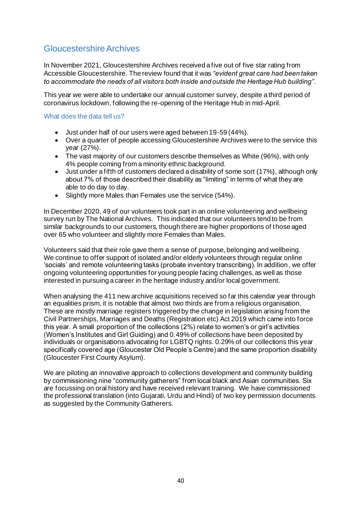# Gloucestershire Archives

In November 2021, Gloucestershire Archives received a five out of five star rating from Accessible Gloucestershire. The review found that it was *"evident great care had been taken to accommodate the needs of all visitors both inside and outside the Heritage Hub building"*.

This year we were able to undertake our annual customer survey, despite a third period of coronavirus lockdown, following the re-opening of the Heritage Hub in mid-April.

#### What does the data tell us?

- Just under half of our users were aged between 19-59 (44%).
- Over a quarter of people accessing Gloucestershire Archives were to the service this year (27%).
- The vast majority of our customers describe themselves as White (96%), with only 4% people coming from a minority ethnic background.
- Just under a fifth of customers declared a disability of some sort (17%), although only about 7% of those described their disability as "limiting" in terms of what they are able to do day to day.
- Slightly more Males than Females use the service (54%).

In December 2020, 49 of our volunteers took part in an online volunteering and wellbeing survey run by The National Archives. This indicated that our volunteers tend to be from similar backgrounds to our customers, though there are higher proportions of those aged over 65 who volunteer and slightly more Females than Males.

Volunteers said that their role gave them a sense of purpose, belonging and wellbeing. We continue to offer support of isolated and/or elderly volunteers through regular online 'socials' and remote volunteering tasks (probate inventory transcribing). In addition, we offer ongoing volunteering opportunities for young people facing challenges, as well as those interested in pursuing a career in the heritage industry and/or local government.

When analysing the 411 new archive acquisitions received so far this calendar year through an equalities prism, it is notable that almost two thirds are from a religious organisation. These are mostly marriage registers triggered by the change in legislation arising from the Civil Partnerships, Marriages and Deaths (Registration etc) Act 2019 which came into force this year. A small proportion of the collections (2%) relate to women's or girl's activities (Women's Institutes and Girl Guiding) and 0.49% of collections have been deposited by individuals or organisations advocating for LGBTQ rights. 0.29% of our collections this year specifically covered age (Gloucester Old People's Centre) and the same proportion disability (Gloucester First County Asylum).

We are piloting an innovative approach to collections development and community building by commissioning nine "community gatherers" from local black and Asian communities. Six are focussing on oral history and have received relevant training. We have commissioned the professional translation (into Gujarati, Urdu and Hindi) of two key permission documents as suggested by the Community Gatherers.